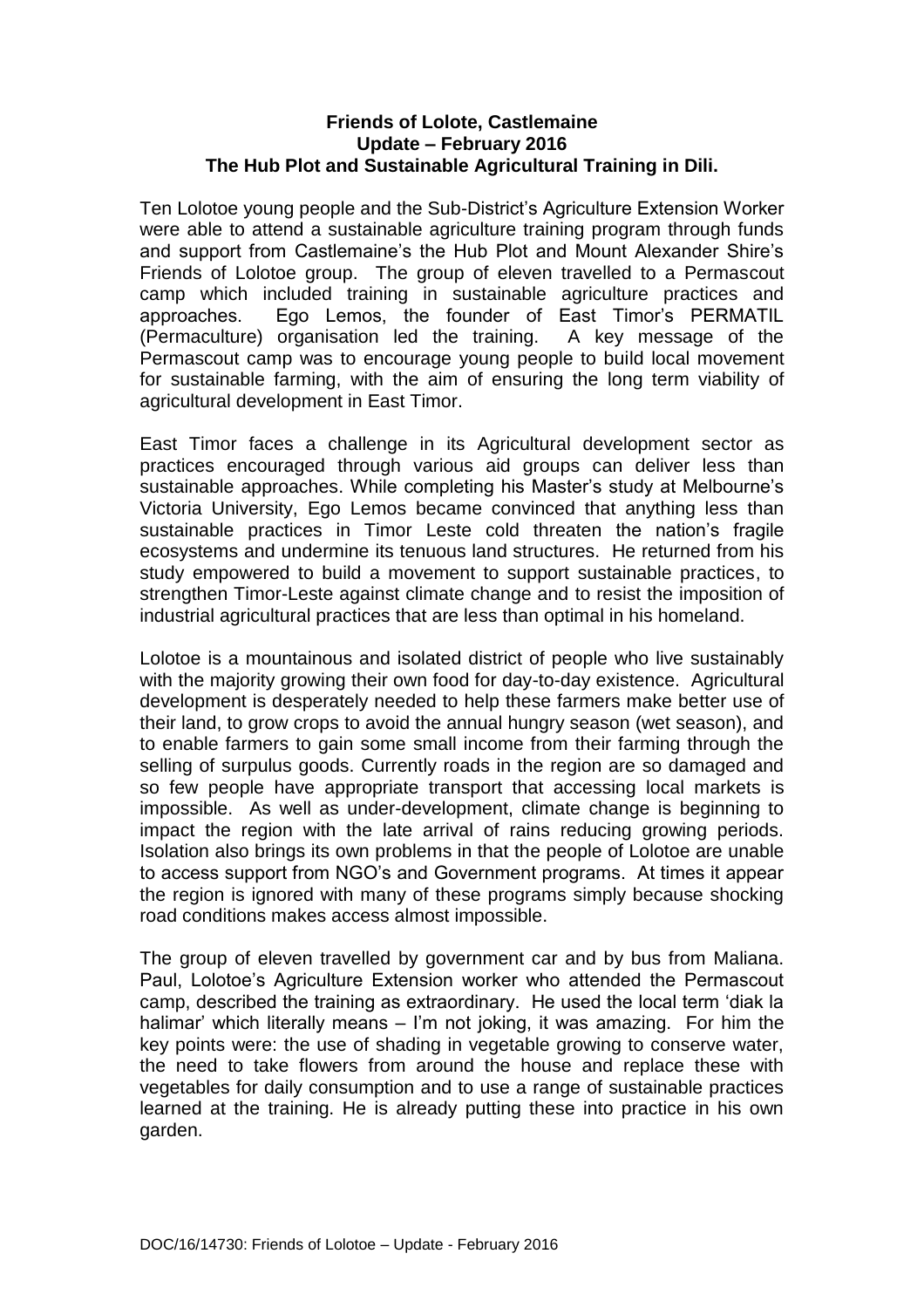## **Friends of Lolote, Castlemaine Update – February 2016 The Hub Plot and Sustainable Agricultural Training in Dili.**

Ten Lolotoe young people and the Sub-District's Agriculture Extension Worker were able to attend a sustainable agriculture training program through funds and support from Castlemaine's the Hub Plot and Mount Alexander Shire's Friends of Lolotoe group. The group of eleven travelled to a Permascout camp which included training in sustainable agriculture practices and approaches. Ego Lemos, the founder of East Timor's PERMATIL (Permaculture) organisation led the training. A key message of the Permascout camp was to encourage young people to build local movement for sustainable farming, with the aim of ensuring the long term viability of agricultural development in East Timor.

East Timor faces a challenge in its Agricultural development sector as practices encouraged through various aid groups can deliver less than sustainable approaches. While completing his Master's study at Melbourne's Victoria University, Ego Lemos became convinced that anything less than sustainable practices in Timor Leste cold threaten the nation's fragile ecosystems and undermine its tenuous land structures. He returned from his study empowered to build a movement to support sustainable practices, to strengthen Timor-Leste against climate change and to resist the imposition of industrial agricultural practices that are less than optimal in his homeland.

Lolotoe is a mountainous and isolated district of people who live sustainably with the majority growing their own food for day-to-day existence. Agricultural development is desperately needed to help these farmers make better use of their land, to grow crops to avoid the annual hungry season (wet season), and to enable farmers to gain some small income from their farming through the selling of surpulus goods. Currently roads in the region are so damaged and so few people have appropriate transport that accessing local markets is impossible. As well as under-development, climate change is beginning to impact the region with the late arrival of rains reducing growing periods. Isolation also brings its own problems in that the people of Lolotoe are unable to access support from NGO's and Government programs. At times it appear the region is ignored with many of these programs simply because shocking road conditions makes access almost impossible.

The group of eleven travelled by government car and by bus from Maliana. Paul, Lolotoe's Agriculture Extension worker who attended the Permascout camp, described the training as extraordinary. He used the local term 'diak la halimar' which literally means – I'm not joking, it was amazing. For him the key points were: the use of shading in vegetable growing to conserve water, the need to take flowers from around the house and replace these with vegetables for daily consumption and to use a range of sustainable practices learned at the training. He is already putting these into practice in his own garden.